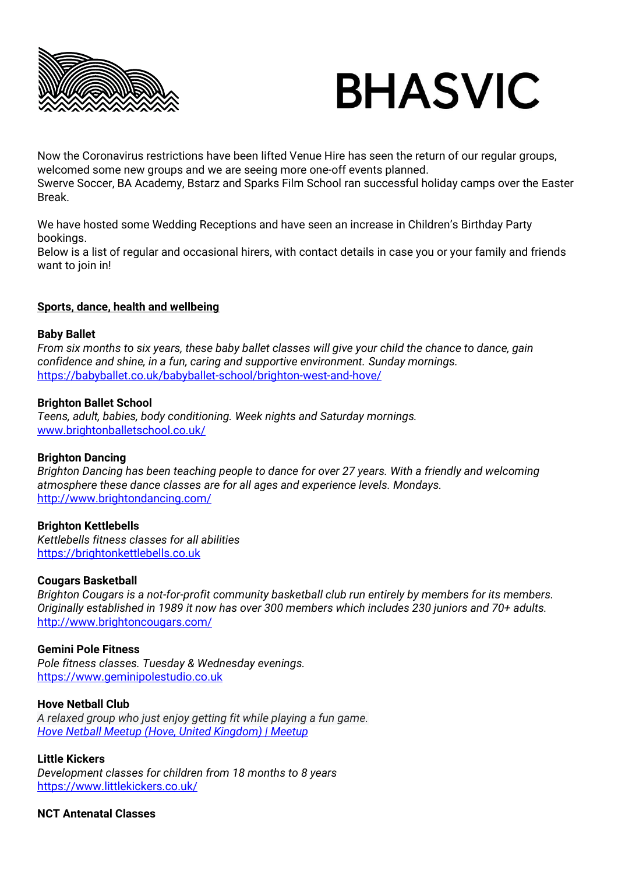



Now the Coronavirus restrictions have been lifted Venue Hire has seen the return of our regular groups, welcomed some new groups and we are seeing more one-off events planned. Swerve Soccer, BA Academy, Bstarz and Sparks Film School ran successful holiday camps over the Easter Break.

We have hosted some Wedding Receptions and have seen an increase in Children's Birthday Party bookings.

Below is a list of regular and occasional hirers, with contact details in case you or your family and friends want to join in!

## **Sports, dance, health and wellbeing**

#### **Baby Ballet**

*From six months to six years, these baby ballet classes will give your child the chance to dance, gain confidence and shine, in a fun, caring and supportive environment. Sunday mornings.* <https://babyballet.co.uk/babyballet-school/brighton-west-and-hove/>

#### **Brighton Ballet School**

*Teens, adult, babies, body conditioning. Week nights and Saturday mornings.* [www.brightonballetschool.co.uk/](http://www.brightonballetschool.co.uk/)

## **Brighton Dancing**

*Brighton Dancing has been teaching people to dance for over 27 years. With a friendly and welcoming atmosphere these dance classes are for all ages and experience levels. Mondays.* <http://www.brightondancing.com/>

## **Brighton Kettlebells**

*Kettlebells fitness classes for all abilities* [https://brightonkettlebells.co.uk](https://brightonkettlebells.co.uk/)

#### **Cougars Basketball**

*Brighton Cougars is a not-for-profit community basketball club run entirely by members for its members. Originally established in 1989 it now has over 300 members which includes 230 juniors and 70+ adults.* <http://www.brightoncougars.com/>

#### **Gemini Pole Fitness**

*Pole fitness classes. Tuesday & Wednesday evenings.* [https://www.geminipolestudio.co.uk](https://www.geminipolestudio.co.uk/)

## **Hove Netball Club**

*A relaxed group who just enjoy getting fit while playing a fun game. [Hove Netball Meetup \(Hove, United Kingdom\) | Meetup](https://www.meetup.com/en-AU/Hove-Netball-Meetup/)*

## **Little Kickers**

*Development classes for children from 18 months to 8 years* https://www.littlekickers.co.uk/

**NCT Antenatal Classes**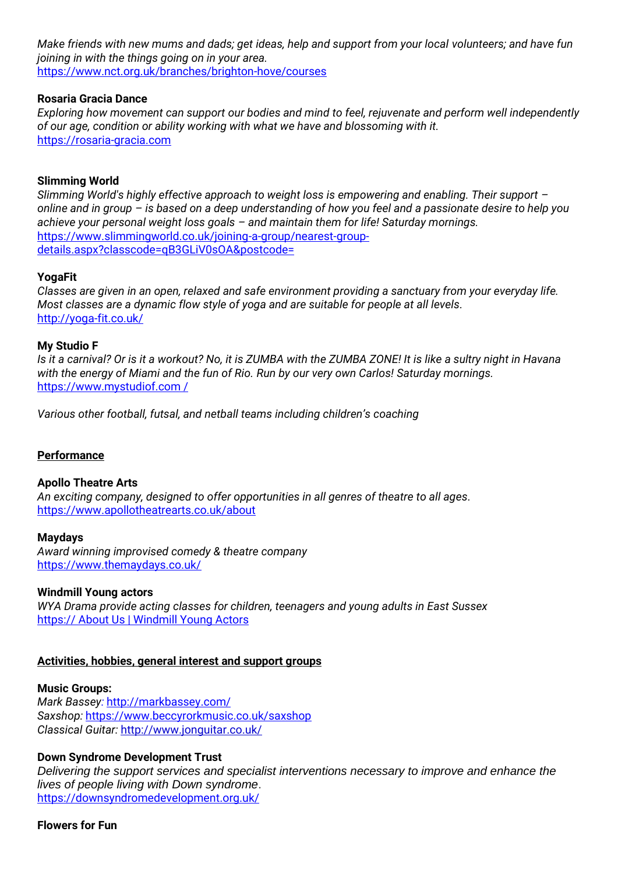*Make friends with new mums and dads; get ideas, help and support from your local volunteers; and have fun joining in with the things going on in your area.* <https://www.nct.org.uk/branches/brighton-hove/courses>

## **Rosaria Gracia Dance**

*Exploring how movement can support our bodies and mind to feel, rejuvenate and perform well independently of our age, condition or ability working with what we have and blossoming with it.* [https://rosaria-gracia.com](https://rosaria-gracia.com/)

# **Slimming World**

*Slimming World's highly effective approach to weight loss is empowering and enabling. Their support – online and in group – is based on a deep understanding of how you feel and a passionate desire to help you achieve your personal weight loss goals – and maintain them for life! Saturday mornings.* [https://www.slimmingworld.co.uk/joining-a-group/nearest-group](https://www.slimmingworld.co.uk/joining-a-group/nearest-group-details.aspx?classcode=qB3GLiV0sOA&postcode=)[details.aspx?classcode=qB3GLiV0sOA&postcode=](https://www.slimmingworld.co.uk/joining-a-group/nearest-group-details.aspx?classcode=qB3GLiV0sOA&postcode=)

# **YogaFit**

*Classes are given in an open, relaxed and safe environment providing a sanctuary from your everyday life. Most classes are a dynamic flow style of yoga and are suitable for people at all levels.* <http://yoga-fit.co.uk/>

## **My Studio F**

*Is it a carnival? Or is it a workout? No, it is ZUMBA with the ZUMBA ZONE! It is like a sultry night in Havana with the energy of Miami and the fun of Rio. Run by our very own Carlos! Saturday mornings.* https://www.mystudiof.com /

*Various other football, futsal, and netball teams including children's coaching*

# **Performance**

## **Apollo Theatre Arts**

*An exciting company, designed to offer opportunities in all genres of theatre to all ages.*  <https://www.apollotheatrearts.co.uk/about>

## **Maydays**

*Award winning improvised comedy & theatre company* <https://www.themaydays.co.uk/>

## **Windmill Young actors**

*WYA Drama provide acting classes for children, teenagers and young adults in East Sussex* https:// [About Us | Windmill Young Actors](http://windmillyoungactors.com/about/)

## **Activities, hobbies, general interest and support groups**

## **Music Groups:**

*Mark Bassey:* http://markbassey.com/ *Saxshop:* <https://www.beccyrorkmusic.co.uk/saxshop> *Classical Guitar:* http://www.jonguitar.co.uk/

# **Down Syndrome Development Trust**

*Delivering the support services and specialist interventions necessary to improve and enhance the lives of people living with Down syndrome*. https://downsyndromedevelopment.org.uk/

**Flowers for Fun**